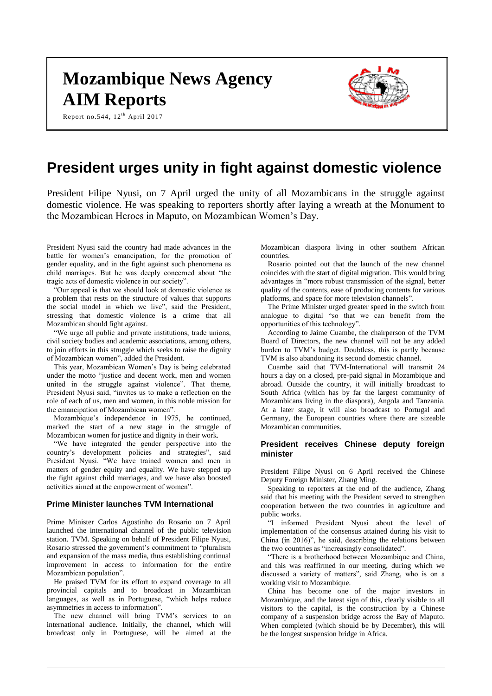# **Mozambique News Agency AIM Reports**

Report no.544,  $12<sup>th</sup>$  April 2017



# **President urges unity in fight against domestic violence**

President Filipe Nyusi, on 7 April urged the unity of all Mozambicans in the struggle against domestic violence. He was speaking to reporters shortly after laying a wreath at the Monument to the Mozambican Heroes in Maputo, on Mozambican Women's Day.

President Nyusi said the country had made advances in the battle for women's emancipation, for the promotion of gender equality, and in the fight against such phenomena as child marriages. But he was deeply concerned about "the tragic acts of domestic violence in our society".

"Our appeal is that we should look at domestic violence as a problem that rests on the structure of values that supports the social model in which we live", said the President, stressing that domestic violence is a crime that all Mozambican should fight against.

"We urge all public and private institutions, trade unions, civil society bodies and academic associations, among others, to join efforts in this struggle which seeks to raise the dignity of Mozambican women", added the President.

This year, Mozambican Women's Day is being celebrated under the motto "justice and decent work, men and women united in the struggle against violence". That theme, President Nyusi said, "invites us to make a reflection on the role of each of us, men and women, in this noble mission for the emancipation of Mozambican women".

Mozambique's independence in 1975, he continued, marked the start of a new stage in the struggle of Mozambican women for justice and dignity in their work.

"We have integrated the gender perspective into the country's development policies and strategies", said President Nyusi. "We have trained women and men in matters of gender equity and equality. We have stepped up the fight against child marriages, and we have also boosted activities aimed at the empowerment of women".

#### **Prime Minister launches TVM International**

Prime Minister Carlos Agostinho do Rosario on 7 April launched the international channel of the public television station. TVM. Speaking on behalf of President Filipe Nyusi, Rosario stressed the government's commitment to "pluralism and expansion of the mass media, thus establishing continual improvement in access to information for the entire Mozambican population".

He praised TVM for its effort to expand coverage to all provincial capitals and to broadcast in Mozambican languages, as well as in Portuguese, "which helps reduce asymmetries in access to information".

The new channel will bring TVM's services to an international audience. Initially, the channel, which will broadcast only in Portuguese, will be aimed at the

Mozambican diaspora living in other southern African countries.

Rosario pointed out that the launch of the new channel coincides with the start of digital migration. This would bring advantages in "more robust transmission of the signal, better quality of the contents, ease of producing contents for various platforms, and space for more television channels".

The Prime Minister urged greater speed in the switch from analogue to digital "so that we can benefit from the opportunities of this technology".

According to Jaime Cuambe, the chairperson of the TVM Board of Directors, the new channel will not be any added burden to TVM's budget. Doubtless, this is partly because TVM is also abandoning its second domestic channel.

Cuambe said that TVM-International will transmit 24 hours a day on a closed, pre-paid signal in Mozambique and abroad. Outside the country, it will initially broadcast to South Africa (which has by far the largest community of Mozambicans living in the diaspora), Angola and Tanzania. At a later stage, it will also broadcast to Portugal and Germany, the European countries where there are sizeable Mozambican communities.

#### **President receives Chinese deputy foreign minister**

President Filipe Nyusi on 6 April received the Chinese Deputy Foreign Minister, Zhang Ming.

Speaking to reporters at the end of the audience, Zhang said that his meeting with the President served to strengthen cooperation between the two countries in agriculture and public works.

"I informed President Nyusi about the level of implementation of the consensus attained during his visit to China (in 2016)", he said, describing the relations between the two countries as "increasingly consolidated".

"There is a brotherhood between Mozambique and China, and this was reaffirmed in our meeting, during which we discussed a variety of matters", said Zhang, who is on a working visit to Mozambique.

China has become one of the major investors in Mozambique, and the latest sign of this, clearly visible to all visitors to the capital, is the construction by a Chinese company of a suspension bridge across the Bay of Maputo. When completed (which should be by December), this will be the longest suspension bridge in Africa.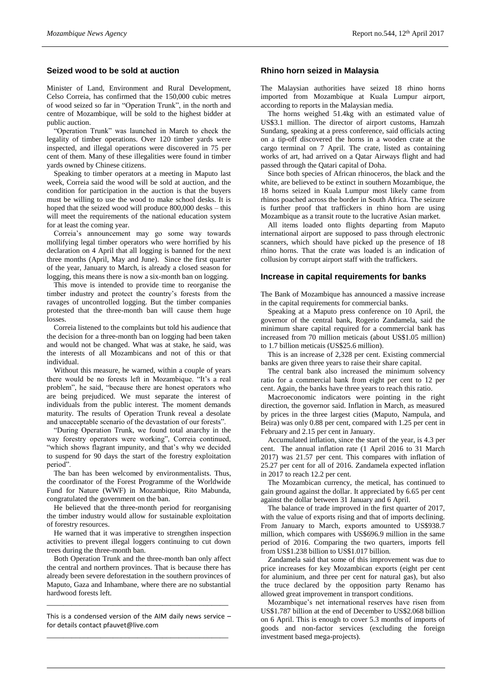# **Seized wood to be sold at auction**

Minister of Land, Environment and Rural Development, Celso Correia, has confirmed that the 150,000 cubic metres of wood seized so far in "Operation Trunk", in the north and centre of Mozambique, will be sold to the highest bidder at public auction.

"Operation Trunk" was launched in March to check the legality of timber operations. Over 120 timber yards were inspected, and illegal operations were discovered in 75 per cent of them. Many of these illegalities were found in timber yards owned by Chinese citizens.

Speaking to timber operators at a meeting in Maputo last week, Correia said the wood will be sold at auction, and the condition for participation in the auction is that the buyers must be willing to use the wood to make school desks. It is hoped that the seized wood will produce 800,000 desks – this will meet the requirements of the national education system for at least the coming year.

Correia's announcement may go some way towards mollifying legal timber operators who were horrified by his declaration on 4 April that all logging is banned for the next three months (April, May and June). Since the first quarter of the year, January to March, is already a closed season for logging, this means there is now a six-month ban on logging.

This move is intended to provide time to reorganise the timber industry and protect the country's forests from the ravages of uncontrolled logging. But the timber companies protested that the three-month ban will cause them huge losses.

Correia listened to the complaints but told his audience that the decision for a three-month ban on logging had been taken and would not be changed. What was at stake, he said, was the interests of all Mozambicans and not of this or that individual.

Without this measure, he warned, within a couple of years there would be no forests left in Mozambique. "It's a real problem", he said, "because there are honest operators who are being prejudiced. We must separate the interest of individuals from the public interest. The moment demands maturity. The results of Operation Trunk reveal a desolate and unacceptable scenario of the devastation of our forests".

"During Operation Trunk, we found total anarchy in the way forestry operators were working", Correia continued, "which shows flagrant impunity, and that's why we decided to suspend for 90 days the start of the forestry exploitation period".

The ban has been welcomed by environmentalists. Thus, the coordinator of the Forest Programme of the Worldwide Fund for Nature (WWF) in Mozambique, Rito Mabunda, congratulated the government on the ban.

He believed that the three-month period for reorganising the timber industry would allow for sustainable exploitation of forestry resources.

He warned that it was imperative to strengthen inspection activities to prevent illegal loggers continuing to cut down trees during the three-month ban.

Both Operation Trunk and the three-month ban only affect the central and northern provinces. That is because there has already been severe deforestation in the southern provinces of Maputo, Gaza and Inhambane, where there are no substantial hardwood forests left.

This is a condensed version of the AIM daily news service – for details contact [pfauvet@live.com](mailto:pfauvet@live.com) \_\_\_\_\_\_\_\_\_\_\_\_\_\_\_\_\_\_\_\_\_\_\_\_\_\_\_\_\_\_\_\_\_\_\_\_\_\_\_\_\_\_\_\_

\_\_\_\_\_\_\_\_\_\_\_\_\_\_\_\_\_\_\_\_\_\_\_\_\_\_\_\_\_\_\_\_\_\_\_\_\_\_\_\_\_\_\_\_

#### **Rhino horn seized in Malaysia**

The Malaysian authorities have seized 18 rhino horns imported from Mozambique at Kuala Lumpur airport, according to reports in the Malaysian media.

The horns weighed 51.4kg with an estimated value of US\$3.1 million. The director of airport customs, Hamzah Sundang, speaking at a press conference, said officials acting on a tip-off discovered the horns in a wooden crate at the cargo terminal on 7 April. The crate, listed as containing works of art, had arrived on a Qatar Airways flight and had passed through the Qatari capital of Doha.

Since both species of African rhinoceros, the black and the white, are believed to be extinct in southern Mozambique, the 18 horns seized in Kuala Lumpur most likely came from rhinos poached across the border in South Africa. The seizure is further proof that traffickers in rhino horn are using Mozambique as a transit route to the lucrative Asian market.

All items loaded onto flights departing from Maputo international airport are supposed to pass through electronic scanners, which should have picked up the presence of 18 rhino horns. That the crate was loaded is an indication of collusion by corrupt airport staff with the traffickers.

#### **Increase in capital requirements for banks**

The Bank of Mozambique has announced a massive increase in the capital requirements for commercial banks.

Speaking at a Maputo press conference on 10 April, the governor of the central bank, Rogerio Zandamela, said the minimum share capital required for a commercial bank has increased from 70 million meticais (about US\$1.05 million) to 1.7 billion meticais (US\$25.6 million).

This is an increase of 2,328 per cent. Existing commercial banks are given three years to raise their share capital.

The central bank also increased the minimum solvency ratio for a commercial bank from eight per cent to 12 per cent. Again, the banks have three years to reach this ratio.

Macroeconomic indicators were pointing in the right direction, the governor said. Inflation in March, as measured by prices in the three largest cities (Maputo, Nampula, and Beira) was only 0.88 per cent, compared with 1.25 per cent in February and 2.15 per cent in January.

Accumulated inflation, since the start of the year, is 4.3 per cent. The annual inflation rate (1 April 2016 to 31 March 2017) was 21.57 per cent. This compares with inflation of 25.27 per cent for all of 2016. Zandamela expected inflation in 2017 to reach 12.2 per cent.

The Mozambican currency, the metical, has continued to gain ground against the dollar. It appreciated by 6.65 per cent against the dollar between 31 January and 6 April.

The balance of trade improved in the first quarter of 2017, with the value of exports rising and that of imports declining. From January to March, exports amounted to US\$938.7 million, which compares with US\$696.9 million in the same period of 2016. Comparing the two quarters, imports fell from US\$1.238 billion to US\$1.017 billion.

Zandamela said that some of this improvement was due to price increases for key Mozambican exports (eight per cent for aluminium, and three per cent for natural gas), but also the truce declared by the opposition party Renamo has allowed great improvement in transport conditions.

Mozambique's net international reserves have risen from US\$1.787 billion at the end of December to US\$2.068 billion on 6 April. This is enough to cover 5.3 months of imports of goods and non-factor services (excluding the foreign investment based mega-projects).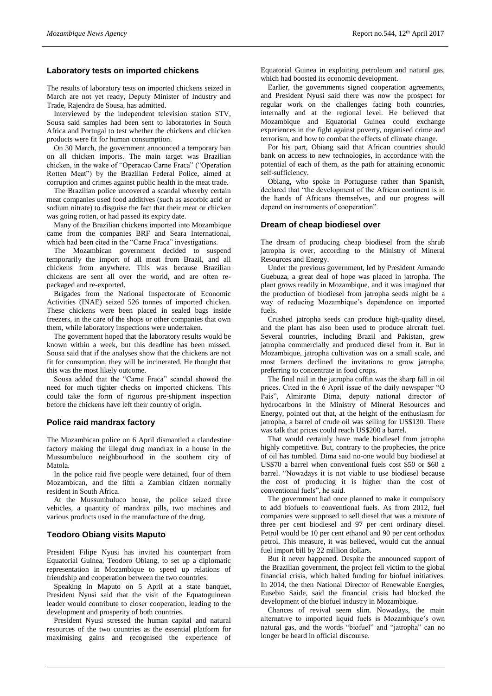# **Laboratory tests on imported chickens**

The results of laboratory tests on imported chickens seized in March are not yet ready, Deputy Minister of Industry and Trade, Rajendra de Sousa, has admitted.

Interviewed by the independent television station STV, Sousa said samples had been sent to laboratories in South Africa and Portugal to test whether the chickens and chicken products were fit for human consumption.

On 30 March, the government announced a temporary ban on all chicken imports. The main target was Brazilian chicken, in the wake of "Operacao Carne Fraca" ("Operation Rotten Meat") by the Brazilian Federal Police, aimed at corruption and crimes against public health in the meat trade.

The Brazilian police uncovered a scandal whereby certain meat companies used food additives (such as ascorbic acid or sodium nitrate) to disguise the fact that their meat or chicken was going rotten, or had passed its expiry date.

Many of the Brazilian chickens imported into Mozambique came from the companies BRF and Seara International, which had been cited in the "Carne Fraca" investigations.

The Mozambican government decided to suspend temporarily the import of all meat from Brazil, and all chickens from anywhere. This was because Brazilian chickens are sent all over the world, and are often repackaged and re-exported.

Brigades from the National Inspectorate of Economic Activities (INAE) seized 526 tonnes of imported chicken. These chickens were been placed in sealed bags inside freezers, in the care of the shops or other companies that own them, while laboratory inspections were undertaken.

The government hoped that the laboratory results would be known within a week, but this deadline has been missed. Sousa said that if the analyses show that the chickens are not fit for consumption, they will be incinerated. He thought that this was the most likely outcome.

Sousa added that the "Carne Fraca" scandal showed the need for much tighter checks on imported chickens. This could take the form of rigorous pre-shipment inspection before the chickens have left their country of origin.

#### **Police raid mandrax factory**

The Mozambican police on 6 April dismantled a clandestine factory making the illegal drug mandrax in a house in the Mussumbuluco neighbourhood in the southern city of Matola.

In the police raid five people were detained, four of them Mozambican, and the fifth a Zambian citizen normally resident in South Africa.

At the Mussumbuluco house, the police seized three vehicles, a quantity of mandrax pills, two machines and various products used in the manufacture of the drug.

#### **Teodoro Obiang visits Maputo**

President Filipe Nyusi has invited his counterpart from Equatorial Guinea, Teodoro Obiang, to set up a diplomatic representation in Mozambique to speed up relations of friendship and cooperation between the two countries.

Speaking in Maputo on 5 April at a state banquet, President Nyusi said that the visit of the Equatoguinean leader would contribute to closer cooperation, leading to the development and prosperity of both countries.

President Nyusi stressed the human capital and natural resources of the two countries as the essential platform for maximising gains and recognised the experience of Equatorial Guinea in exploiting petroleum and natural gas, which had boosted its economic development.

Earlier, the governments signed cooperation agreements, and President Nyusi said there was now the prospect for regular work on the challenges facing both countries, internally and at the regional level. He believed that Mozambique and Equatorial Guinea could exchange experiences in the fight against poverty, organised crime and terrorism, and how to combat the effects of climate change.

For his part, Obiang said that African countries should bank on access to new technologies, in accordance with the potential of each of them, as the path for attaining economic self-sufficiency.

Obiang, who spoke in Portuguese rather than Spanish, declared that "the development of the African continent is in the hands of Africans themselves, and our progress will depend on instruments of cooperation".

#### **Dream of cheap biodiesel over**

The dream of producing cheap biodiesel from the shrub jatropha is over, according to the Ministry of Mineral Resources and Energy.

Under the previous government, led by President Armando Guebuza, a great deal of hope was placed in jatropha. The plant grows readily in Mozambique, and it was imagined that the production of biodiesel from jatropha seeds might be a way of reducing Mozambique's dependence on imported fuels.

Crushed jatropha seeds can produce high-quality diesel, and the plant has also been used to produce aircraft fuel. Several countries, including Brazil and Pakistan, grew jatropha commercially and produced diesel from it. But in Mozambique, jatropha cultivation was on a small scale, and most farmers declined the invitations to grow jatropha, preferring to concentrate in food crops.

The final nail in the jatropha coffin was the sharp fall in oil prices. Cited in the 6 April issue of the daily newspaper "O Pais", Almirante Dima, deputy national director of hydrocarbons in the Ministry of Mineral Resources and Energy, pointed out that, at the height of the enthusiasm for jatropha, a barrel of crude oil was selling for US\$130. There was talk that prices could reach US\$200 a barrel.

That would certainly have made biodiesel from jatropha highly competitive. But, contrary to the prophecies, the price of oil has tumbled. Dima said no-one would buy biodiesel at US\$70 a barrel when conventional fuels cost \$50 or \$60 a barrel. "Nowadays it is not viable to use biodiesel because the cost of producing it is higher than the cost of conventional fuels", he said.

The government had once planned to make it compulsory to add biofuels to conventional fuels. As from 2012, fuel companies were supposed to sell diesel that was a mixture of three per cent biodiesel and 97 per cent ordinary diesel. Petrol would be 10 per cent ethanol and 90 per cent orthodox petrol. This measure, it was believed, would cut the annual fuel import bill by 22 million dollars.

But it never happened. Despite the announced support of the Brazilian government, the project fell victim to the global financial crisis, which halted funding for biofuel initiatives. In 2014, the then National Director of Renewable Energies, Eusebio Saide, said the financial crisis had blocked the development of the biofuel industry in Mozambique.

Chances of revival seem slim. Nowadays, the main alternative to imported liquid fuels is Mozambique's own natural gas, and the words "biofuel" and "jatropha" can no longer be heard in official discourse.